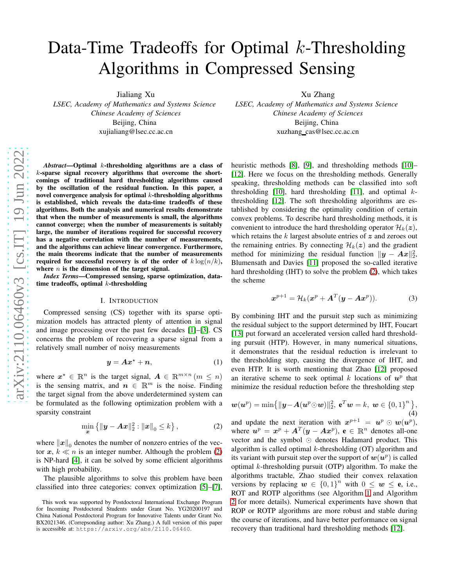# Data-Time Tradeoffs for Optimal  $k$ -Thresholding Algorithms in Compressed Sensing

Jialiang Xu

*LSEC, Academy of Mathematics and Systems Science Chinese Academy of Sciences* Beijing, China xujialiang@lsec.cc.ac.cn

*Abstract*—Optimal k-thresholding algorithms are a class of k-sparse signal recovery algorithms that overcome the shortcomings of traditional hard thresholding algorithms caused by the oscillation of the residual function. In this paper, a novel convergence analysis for optimal  $k$ -thresholding algorithms is established, which reveals the data-time tradeoffs of these algorithms. Both the analysis and numerical results demonstrate that when the number of measurements is small, the algorithms cannot converge; when the number of measurements is suitably large, the number of iterations required for successful recovery has a negative correlation with the number of measurements, and the algorithms can achieve linear convergence. Furthermore, the main theorems indicate that the number of measurements required for successful recovery is of the order of  $k \log(n/k)$ , where  $n$  is the dimension of the target signal.

*Index Terms*—Compressed sensing, sparse optimization, datatime tradeoffs, optimal  $k$ -thresholding

#### I. INTRODUCTION

Compressed sensing (CS) together with its sparse optimization models has attracted plenty of attention in signal and image processing over the past few decades [\[1\]](#page-5-0)–[\[3\]](#page-5-1). CS concerns the problem of recovering a sparse signal from a relatively small number of noisy measurements

$$
y = Ax^* + n,\tag{1}
$$

where  $x^* \in \mathbb{R}^n$  is the target signal,  $A \in \mathbb{R}^{m \times n}$   $(m \leq n)$ is the sensing matrix, and  $n \in \mathbb{R}^m$  is the noise. Finding the target signal from the above underdetermined system can be formulated as the following optimization problem with a sparsity constraint

<span id="page-0-0"></span>
$$
\min_{\bm{x}} \left\{ \|\bm{y} - \bm{A}\bm{x}\|_2^2 : \|\bm{x}\|_0 \le k \right\},\tag{2}
$$

where  $||x||_0$  denotes the number of nonzero entries of the vector  $x, k \ll n$  is an integer number. Although the problem [\(2\)](#page-0-0) is NP-hard [\[4\]](#page-5-2), it can be solved by some efficient algorithms with high probability.

The plausible algorithms to solve this problem have been classified into three categories: convex optimization [\[5\]](#page-5-3)–[\[7\]](#page-5-4), Xu Zhang

*LSEC, Academy of Mathematics and Systems Science Chinese Academy of Sciences* Beijing, China xuzhang cas@lsec.cc.ac.cn

heuristic methods [\[8\]](#page-5-5), [\[9\]](#page-5-6), and thresholding methods [\[10\]](#page-5-7)– [\[12\]](#page-5-8). Here we focus on the thresholding methods. Generally speaking, thresholding methods can be classified into soft thresholding [\[10\]](#page-5-7), hard thresholding [\[11\]](#page-5-9), and optimal  $k$ thresholding [\[12\]](#page-5-8). The soft thresholding algorithms are established by considering the optimality condition of certain convex problems. To describe hard thresholding methods, it is convenient to introduce the hard thresholding operator  $\mathcal{H}_k(z)$ , which retains the  $k$  largest absolute entries of  $z$  and zeroes out the remaining entries. By connecting  $\mathcal{H}_k(z)$  and the gradient method for minimizing the residual function  $\|\mathbf{y} - \mathbf{A}\mathbf{x}\|_2^2$ , Blumensath and Davies [\[11\]](#page-5-9) proposed the so-called iterative hard thresholding (IHT) to solve the problem [\(2\)](#page-0-0), which takes the scheme

$$
\boldsymbol{x}^{p+1} = \mathcal{H}_k(\boldsymbol{x}^p + \boldsymbol{A}^T(\boldsymbol{y} - \boldsymbol{A}\boldsymbol{x}^p)).
$$
 (3)

By combining IHT and the pursuit step such as minimizing the residual subject to the support determined by IHT, Foucart [\[13\]](#page-5-10) put forward an accelerated version called hard thresholding pursuit (HTP). However, in many numerical situations, it demonstrates that the residual reduction is irrelevant to the thresholding step, causing the divergence of IHT, and even HTP. It is worth mentioning that Zhao [\[12\]](#page-5-8) proposed an iterative scheme to seek optimal  $k$  locations of  $u^p$  that minimize the residual reduction before the thresholding step

$$
\mathbf{w}(\mathbf{u}^p) = \min\{||\mathbf{y} - \mathbf{A}(\mathbf{u}^p \odot \mathbf{w})||_2^2, \mathbf{e}^T \mathbf{w} = k, \ \mathbf{w} \in \{0,1\}^n \},\tag{4}
$$

and update the next iteration with  $x^{p+1} = u^p \odot w(u^p)$ , where  $u^p = x^p + A^T(y - Ax^p)$ ,  $e \in \mathbb{R}^n$  denotes all-one vector and the symbol ⊙ denotes Hadamard product. This algorithm is called optimal  $k$ -thresholding (OT) algorithm and its variant with pursuit step over the support of  $\bm{w}(\bm{u}^p)$  is called optimal  $k$ -thresholding pursuit (OTP) algorithm. To make the algorithms tractable, Zhao studied their convex relaxation versions by replacing  $w \in \{0,1\}^n$  with  $0 \leq w \leq e$ , i.e., ROT and ROTP algorithms (see Algorithm [1](#page-1-0) and Algorithm [2](#page-1-1) for more details). Numerical experiments have shown that ROP or ROTP algorithms are more robust and stable during the course of iterations, and have better performance on signal recovery than traditional hard thresholding methods [\[12\]](#page-5-8).

This work was supported by Postdoctoral International Exchange Program for Incoming Postdoctoral Students under Grant No. YG20200197 and China National Postdoctoral Program for Innovative Talents under Grant No. BX2021346. (Correpsonding author: Xu Zhang.) A full version of this paper is accessible at: https://arxiv.org/abs/2110.06460.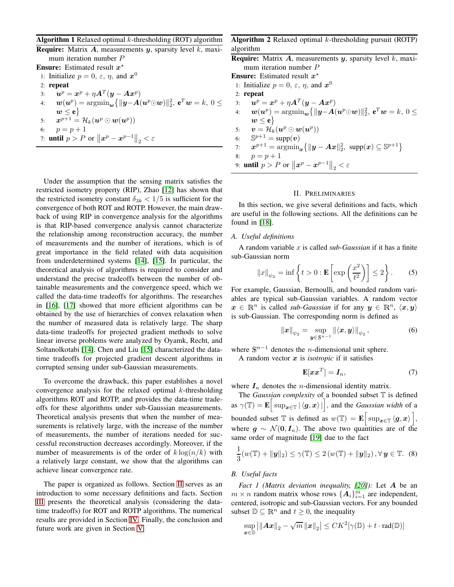#### <span id="page-1-0"></span>**Algorithm 1** Relaxed optimal  $k$ -thresholding (ROT) algorithm

**Require:** Matrix  $A$ , measurements  $y$ , sparsity level  $k$ , maximum iteration number P

**Ensure:** Estimated result  $x^*$ 1: Initialize  $p = 0, \varepsilon, \eta$ , and  $x^0$ 2: repeat 3:  $\boldsymbol{u}^p = \boldsymbol{x}^p + \eta \boldsymbol{A}^T (\boldsymbol{y} - \boldsymbol{A} \boldsymbol{x}^p)$ 4:  $\boldsymbol{w}(\boldsymbol{u}^p) = \mathop{\mathrm{argmin}}_{\boldsymbol{w}} \{ \|\boldsymbol{y} - \boldsymbol{A}(\boldsymbol{u}^p \odot \boldsymbol{w})\|_2^2, \ \boldsymbol{e}^T \boldsymbol{w} = k, \ 0 \leq$  $w \leq {\bf e} \}$ 5:  $\boldsymbol{x}^{p+1} = \mathcal{H}_k(\boldsymbol{u}^p \odot \boldsymbol{w}(\boldsymbol{u}^p))$ 6:  $p = p + 1$ 7: **until**  $p > P$  or  $||x^p - x^{p-1}||_2 < \varepsilon$ 

Under the assumption that the sensing matrix satisfies the restricted isometry property (RIP), Zhao [\[12\]](#page-5-8) has shown that the restricted isometry constant  $\delta_{3k} < 1/5$  is sufficient for the convergence of both ROT and ROTP. However, the main drawback of using RIP in convergence analysis for the algorithms is that RIP-based convergence analysis cannot characterize the relationship among reconstruction accuracy, the number of measurements and the number of iterations, which is of great importance in the field related with data acquisition from underdetermined systems [\[14\]](#page-5-11), [\[15\]](#page-5-12). In particular, the theoretical analysis of algorithms is required to consider and understand the precise tradeoffs between the number of obtainable measurements and the convergence speed, which we called the data-time tradeoffs for algorithms. The researches in [\[16\]](#page-5-13), [\[17\]](#page-5-14) showed that more efficient algorithms can be obtained by the use of hierarchies of convex relaxation when the number of measured data is relatively large. The sharp data-time tradeoffs for projected gradient methods to solve linear inverse problems were analyzed by Oyamk, Recht, and Soltanolkotabi [\[14\]](#page-5-11). Chen and Liu [\[15\]](#page-5-12) characterized the datatime tradeoffs for projected gradient descent algorithms in corrupted sensing under sub-Gaussian measurements.

To overcome the drawback, this paper establishes a novel convergence analysis for the relaxed optimal  $k$ -thresholding algorithms ROT and ROTP, and provides the data-time tradeoffs for these algorithms under sub-Gaussian measurements. Theoretical analysis presents that when the number of measurements is relatively large, with the increase of the number of measurements, the number of iterations needed for successful reconstruction decreases accordingly. Moreover, if the number of measurements is of the order of  $k \log(n/k)$  with a relatively large constant, we show that the algorithms can achieve linear convergence rate.

The paper is organized as follows. Section [II](#page-1-2) serves as an introduction to some necessary definitions and facts. Section [III](#page-2-0) presents the theoretical analysis (considering the datatime tradeoffs) for ROT and ROTP algorithms. The numerical results are provided in Section [IV.](#page-4-0) Finally, the conclusion and future work are given in Section [V.](#page-4-1)

## <span id="page-1-1"></span>Algorithm 2 Relaxed optimal  $k$ -thresholding pursuit (ROTP) algorithm

| $\mu$ and $\mu$                                                                                                                                                              |
|------------------------------------------------------------------------------------------------------------------------------------------------------------------------------|
| <b>Require:</b> Matrix A, measurements y, sparsity level k, maxi-                                                                                                            |
| mum iteration number $P$                                                                                                                                                     |
| <b>Ensure:</b> Estimated result $x^*$                                                                                                                                        |
| 1: Initialize $p = 0, \varepsilon, \eta$ , and $x^0$                                                                                                                         |
| $2:$ repeat                                                                                                                                                                  |
| $\mathbf{u}^p = \mathbf{x}^p + \eta \mathbf{A}^T (\mathbf{y} - \mathbf{A} \mathbf{x}^p)$<br>3:                                                                               |
| $\mathbf{w}(\mathbf{u}^p) = \operatorname{argmin}_{\mathbf{w}} \{   \mathbf{y} - \mathbf{A}(\mathbf{u}^p \odot \mathbf{w})  _2^2, \mathbf{e}^T \mathbf{w} = k, 0 \leq$<br>4: |
| $w \leq e$                                                                                                                                                                   |
| 5: $\mathbf{v} = \mathcal{H}_k(\mathbf{u}^p \odot \mathbf{w}(\mathbf{u}^p))$                                                                                                 |
| $\mathbb{S}^{p+1} = \text{supp}(\boldsymbol{v})$<br>6:                                                                                                                       |
| $\mathbf{x}^{p+1} = \operatorname{argmin}_{\mathbf{x}} \{   \mathbf{y} - \mathbf{A}\mathbf{x}  _2^2, \ \text{supp}(\mathbf{x}) \subseteq \mathbb{S}^{p+1} \}$<br>7:          |
| $p=p+1$<br>8:                                                                                                                                                                |
| 9: <b>until</b> $p > P$ or $  x^p - x^{p-1}  _{\infty} < \varepsilon$                                                                                                        |

#### II. PRELIMINARIES

<span id="page-1-2"></span>In this section, we give several definitions and facts, which are useful in the following sections. All the definitions can be found in [\[18\]](#page-5-15).

#### *A. Useful definitions*

A random variable x is called *sub-Gaussian* if it has a finite sub-Gaussian norm

$$
||x||_{\psi_2} = \inf \left\{ t > 0 : \mathbf{E} \left[ \exp \left( \frac{x^2}{t^2} \right) \right] \le 2 \right\}.
$$
 (5)

For example, Gaussian, Bernoulli, and bounded random variables are typical sub-Gaussian variables. A random vector  $x \in \mathbb{R}^n$  is called *sub-Gaussian* if for any  $y \in \mathbb{R}^n$ ,  $\langle x, y \rangle$ is sub-Gaussian. The corresponding norm is defined as

$$
\|x\|_{\psi_2} = \sup_{\bm{y}\in\mathbb{S}^{n-1}} \|\langle \bm{x}, \bm{y}\rangle\|_{\psi_2},\tag{6}
$$

where  $\mathbb{S}^{n-1}$  denotes the *n*-dimensional unit sphere.

A random vector  $x$  is *isotropic* if it satisfies

$$
\mathbf{E}[\boldsymbol{x}\boldsymbol{x}^T] = \boldsymbol{I}_n,\tag{7}
$$

where  $I_n$  denotes the *n*-dimensional identity matrix.

The *Gaussian complexity* of a bounded subset T is defined as  $\gamma(\mathbb{T}) = \mathbf{E} \left[ \sup_{\mathbf{x} \in \mathbb{T}} |\langle \mathbf{g}, \mathbf{x} \rangle| \right]$ , and the *Gaussian width* of a bounded subset  $\mathbb T$  is defined as  $w(\mathbb T) = \mathbf E \Big[ \sup_{\bm x \in \mathbb T} \langle \bm g, \bm x \rangle \Big],$ where  $g \sim \mathcal{N}(0, I_n)$ . The above two quantities are of the same order of magnitude [\[19\]](#page-5-16) due to the fact

<span id="page-1-3"></span>
$$
\frac{1}{3}(w(\mathbb{T}) + \|\mathbf{y}\|_2) \leq \gamma(\mathbb{T}) \leq 2(w(\mathbb{T}) + \|\mathbf{y}\|_2), \forall \mathbf{y} \in \mathbb{T}. (8)
$$

#### *B. Useful facts*

*Fact 1 (Matrix deviation inequality, [\[20\]](#page-5-17)):* Let A be an  $m \times n$  random matrix whose rows  $\{A_i\}_{i=1}^m$  are independent, centered, isotropic and sub-Gaussian vectors. For any bounded subset  $\mathbb{D} \subseteq \mathbb{R}^n$  and  $t \geq 0$ , the inequality

$$
\sup_{\boldsymbol{x}\in\mathbb{D}}\left|\left\|\boldsymbol{A}\boldsymbol{x}\right\|_2-\sqrt{m}\left\|\boldsymbol{x}\right\|_2\right|\leq CK^2[\gamma(\mathbb{D})+t\cdot\mathrm{rad}(\mathbb{D})]
$$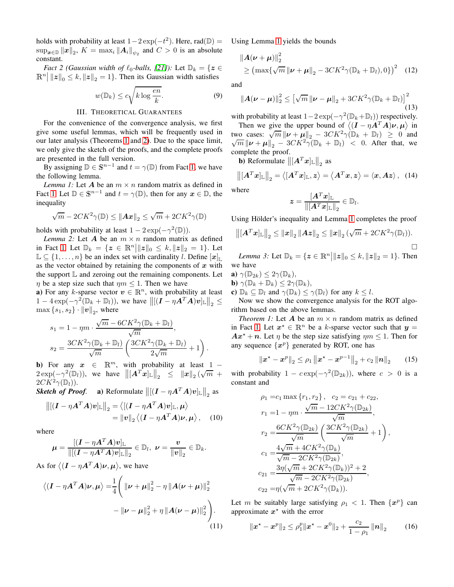holds with probability at least  $1-2 \exp(-t^2)$ . Here, rad( $\mathbb{D}$ ) =  $\sup_{\boldsymbol{x}\in\mathbb{D}}\|\boldsymbol{x}\|_2$ ,  $K = \max_i \|\boldsymbol{A}_i\|_{\psi_2}$  and  $C > 0$  is an absolute constant.

*Fact 2 (Gaussian width of*  $\ell_0$ -balls, [\[21\]](#page-5-18)): Let  $\mathbb{D}_k = \{z \in \mathbb{C} : |z| \leq k \}$  $\mathbb{R}^n \big| \|z\|_0 \leq k, \|z\|_2 = 1 \}.$  Then its Gaussian width satisfies

$$
w(\mathbb{D}_k) \le c\sqrt{k \log \frac{en}{k}}.\tag{9}
$$

#### III. THEORETICAL GUARANTEES

<span id="page-2-0"></span>For the convenience of the convergence analysis, we first give some useful lemmas, which will be frequently used in our later analysis (Theorems [1](#page-2-1) and [2\)](#page-3-0). Due to the space limit, we only give the sketch of the proofs, and the complete proofs are presented in the full version.

By assigning  $\mathbb{D} \in \mathbb{S}^{n-1}$  and  $t = \gamma(\mathbb{D})$  from Fact [1,](#page-6-0) we have the following lemma.

*Lemma 1:* Let A be an  $m \times n$  random matrix as defined in Fact [1.](#page-6-0) Let  $\mathbb{D} \in \mathbb{S}^{n-1}$  and  $t = \gamma(\mathbb{D})$ , then for any  $x \in \mathbb{D}$ , the inequality

$$
\sqrt{m} - 2CK^2\gamma(\mathbb{D}) \leq ||A\boldsymbol{x}||_2 \leq \sqrt{m} + 2CK^2\gamma(\mathbb{D})
$$

<span id="page-2-2"></span>holds with probability at least  $1 - 2 \exp(-\gamma^2(\mathbb{D}))$ .

*Lemma 2:* Let A be an  $m \times n$  random matrix as defined in Fact [1.](#page-6-0) Let  $\mathbb{D}_k = \{ z \in \mathbb{R}^n \mid ||z||_0 \le k, ||z||_2 = 1 \}$ . Let  $\mathbb{L} \subseteq \{1, \ldots, n\}$  be an index set with cardinality l. Define  $[\boldsymbol{x}]_{\mathbb{L}}$ as the vector obtained by retaining the components of  $x$  with the support  $\mathbb L$  and zeroing out the remaining components. Let  $\eta$  be a step size such that  $\eta m \leq 1$ . Then we have

a) For any k-sparse vector  $v \in \mathbb{R}^n$ , with probability at least  $1 - 4 \exp(-\gamma^2 (\mathbb{D}_k + \mathbb{D}_l)),$  we have  $\left\| [(\mathbf{I} - \eta \mathbf{A}^T \mathbf{A}) \mathbf{v}]_{\mathbb{L}} \right\|_2 \leq$  $\max\{s_1,s_2\}\cdot \|v\|_2$ , where

$$
s_1 = 1 - \eta m \cdot \frac{\sqrt{m} - 6CK^2 \gamma(\mathbb{D}_k + \mathbb{D}_l)}{\sqrt{m}},
$$
  
\n
$$
s_2 = \frac{3CK^2 \gamma(\mathbb{D}_k + \mathbb{D}_l)}{\sqrt{m}} \left( \frac{3CK^2 \gamma(\mathbb{D}_k + \mathbb{D}_l)}{2\sqrt{m}} + 1 \right).
$$

b) For any  $x \in \mathbb{R}^m$ , with probability at least 1 −  $2 \exp(-\gamma^2(\mathbb{D}_l)),$  we have  $\left\| [\mathbf{A}^T \mathbf{x}]_{\mathbb{L}} \right\|_2 \leq \|\mathbf{x}\|_2 (\sqrt{m} + \gamma^2(\mathbb{D}_l)).$  $2CK^2\gamma(\mathbb{D}_l)$ ).

*Sketch of Proof.* a) Reformulate  $\left\| \left[ (I - \eta A^T A) v \right]_{\mathbb{L}} \right\|_2$  as

$$
\left\| [(\boldsymbol{I} - \eta \boldsymbol{A}^T \boldsymbol{A}) \boldsymbol{v}]_{\mathbb{L}} \right\|_2 = \left\langle [(\boldsymbol{I} - \eta \boldsymbol{A}^T \boldsymbol{A}) \boldsymbol{v}]_{\mathbb{L}}, \boldsymbol{\mu} \right\rangle \n= \|\boldsymbol{v}\|_2 \left\langle (\boldsymbol{I} - \eta \boldsymbol{A}^T \boldsymbol{A}) \boldsymbol{\nu}, \boldsymbol{\mu} \right\rangle, \quad (10)
$$

where

$$
\boldsymbol{\mu} = \frac{[(\boldsymbol{I} - \eta \boldsymbol{A}^T \boldsymbol{A}) \boldsymbol{v}]_{\mathbb{L}}}{\|[(\boldsymbol{I} - \eta \boldsymbol{A}^T \boldsymbol{A}) \boldsymbol{v}]_{\mathbb{L}}\|_2} \in \mathbb{D}_l, \ \boldsymbol{\nu} = \frac{\boldsymbol{v}}{\|\boldsymbol{v}\|_2} \in \mathbb{D}_k.
$$

As for  $\langle (\boldsymbol{I} - \eta \boldsymbol{A}^T \boldsymbol{A}) \boldsymbol{\nu}, \boldsymbol{\mu} \rangle$ , we have

$$
\langle (\boldsymbol{I} - \eta \boldsymbol{A}^T \boldsymbol{A}) \boldsymbol{\nu}, \boldsymbol{\mu} \rangle = \frac{1}{4} \Bigg( \|\boldsymbol{\nu} + \boldsymbol{\mu}\|_2^2 - \eta \|\boldsymbol{A}(\boldsymbol{\nu} + \boldsymbol{\mu})\|_2^2 - \|\boldsymbol{\nu} - \boldsymbol{\mu}\|_2^2 + \eta \|\boldsymbol{A}(\boldsymbol{\nu} - \boldsymbol{\mu})\|_2^2 \Bigg). \tag{11}
$$

Using Lemma [1](#page-6-0) yields the bounds

$$
\|\bm{A}(\bm{\nu}+\bm{\mu})\|_{2}^{2} \geq (\max\{\sqrt{m}\|\bm{\nu}+\bm{\mu}\|_{2} - 3CK^{2}\gamma(\mathbb{D}_{k}+\mathbb{D}_{l}),0\})^{2} \quad (12)
$$

and

$$
\left\|\boldsymbol{A}(\boldsymbol{\nu}-\boldsymbol{\mu})\right\|_{2}^{2} \leq \left[\sqrt{m}\left\|\boldsymbol{\nu}-\boldsymbol{\mu}\right\|_{2} + 3CK^{2}\gamma(\mathbb{D}_{k}+\mathbb{D}_{l})\right]^{2}
$$
\n(13)

with probability at least  $1-2\exp(-\gamma^2(\mathbb{D}_k+\mathbb{D}_l))$  respectively.

Then we give the upper bound of  $\langle (I - \eta A^T A)\nu, \mu \rangle$  in two cases:  $\sqrt{m} ||\mathbf{v} + \mathbf{\mu}||_2 - 3CK^2 \gamma (\mathbf{D}_k + \mathbf{D}_l) \ge 0$  and  $\sqrt{m} ||\mathbf{v} + \mathbf{\mu}||_2 - 3CK^2 \gamma (\mathbb{D}_k + \mathbb{D}_l) < 0$ . After that, we complete the proof.

**b**) Reformulate  $\left\| \left[ \bm{A}^T\bm{x} \right]_{\mathbb{L}} \right\|_2$  as

$$
\left\| [A^T x]_{\mathbb{L}} \right\|_2 = \left\langle [A^T x]_{\mathbb{L}}, z \right\rangle = \left\langle A^T x, z \right\rangle = \left\langle x, Az \right\rangle, (14)
$$

where

$$
\boldsymbol{z} = \frac{[\boldsymbol{A}^T\boldsymbol{x}]_{\mathbb{L}}}{\|[\boldsymbol{A}^T\boldsymbol{x}]_{\mathbb{L}}\|_2} \in \mathbb{D}_l.
$$

Using Hölder's inequality and Lemma [1](#page-6-0) completes the proof

$$
\left\| \left[ \mathbf{A}^T \mathbf{x} \right]_{\mathbb{L}} \right\|_2 \leq \left\| \mathbf{x} \right\|_2 \left\| \mathbf{A} \mathbf{z} \right\|_2 \leq \left\| \mathbf{x} \right\|_2 (\sqrt{m} + 2CK^2 \gamma(\mathbb{D}_l)).
$$

<span id="page-2-3"></span>*Lemma 3:* Let  $\mathbb{D}_k = \{ \mathbf{z} \in \mathbb{R}^n \big| ||\mathbf{z}||_0 \le k, ||\mathbf{z}||_2 = 1 \}.$  Then we have

- a)  $\gamma(\mathbb{D}_{2k}) \leq 2\gamma(\mathbb{D}_k)$ ,
- **b**)  $\gamma(\mathbb{D}_k + \mathbb{D}_k) \leq 2\gamma(\mathbb{D}_k)$ ,
- c)  $\mathbb{D}_k \subseteq \mathbb{D}_l$  and  $\gamma(\mathbb{D}_k) \leq \gamma(\mathbb{D}_l)$  for any  $k \leq l$ .

Now we show the convergence analysis for the ROT algorithm based on the above lemmas.

*Theorem 1:* Let  $\boldsymbol{A}$  be an  $m \times n$  random matrix as defined in Fact [1.](#page-6-0) Let  $x^* \in \mathbb{R}^n$  be a k-sparse vector such that  $y =$  $Ax^* + n$ . Let  $\eta$  be the step size satisfying  $\eta m \leq 1$ . Then for any sequence  $\{x^p\}$  generated by ROT, one has

<span id="page-2-1"></span>
$$
\|\boldsymbol{x}^{\star}-\boldsymbol{x}^{p}\|_{2} \leq \rho_{1} \left\|\boldsymbol{x}^{\star}-\boldsymbol{x}^{p-1}\right\|_{2}+c_{2} \left\|\boldsymbol{n}\right\|_{2} \qquad (15)
$$

with probability  $1 - c \exp(-\gamma^2(\mathbb{D}_{2k}))$ , where  $c > 0$  is a constant and

$$
\rho_1 = c_1 \max \{r_1, r_2\}, \quad c_2 = c_{21} + c_{22},
$$
\n
$$
r_1 = 1 - \eta m \cdot \frac{\sqrt{m} - 12CK^2\gamma(\mathbb{D}_{2k})}{\sqrt{m}},
$$
\n
$$
r_2 = \frac{6CK^2\gamma(\mathbb{D}_{2k})}{\sqrt{m}} \left( \frac{3CK^2\gamma(\mathbb{D}_{2k})}{\sqrt{m}} + 1 \right),
$$
\n
$$
c_1 = \frac{4\sqrt{m} + 4CK^2\gamma(\mathbb{D}_k)}{\sqrt{m} - 2CK^2\gamma(\mathbb{D}_{2k})},
$$
\n
$$
c_{21} = \frac{3\eta(\sqrt{m} + 2CK^2\gamma(\mathbb{D}_k))^2 + 2}{\sqrt{m} - 2CK^2\gamma(\mathbb{D}_{2k})},
$$
\n
$$
c_{22} = \eta(\sqrt{m} + 2CK^2\gamma(\mathbb{D}_k)).
$$

Let m be suitably large satisfying  $\rho_1 < 1$ . Then  $\{x^p\}$  can approximate  $x^*$  with the error

$$
\|\boldsymbol{x}^{\star}-\boldsymbol{x}^{p}\|_{2} \leq \rho_{1}^{p} \|\boldsymbol{x}^{\star}-\boldsymbol{x}^{0}\|_{2}+\frac{c_{2}}{1-\rho_{1}}\left\|\boldsymbol{n}\right\|_{2} \qquad (16)
$$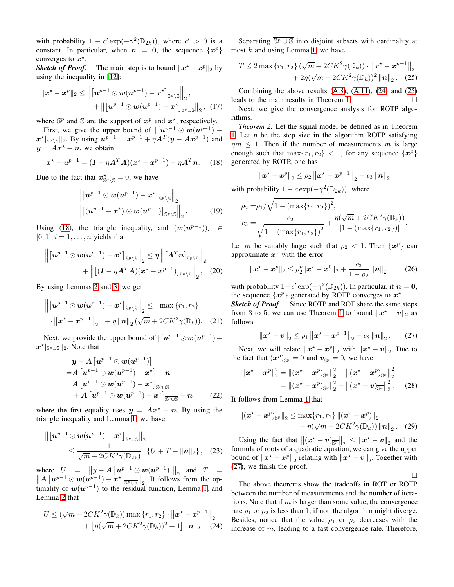with probability  $1 - c' \exp(-\gamma^2(\mathbb{D}_{2k}))$ , where  $c' > 0$  is a constant. In particular, when  $n = 0$ , the sequence  $\{x^p\}$ converges to  $x^*$ .

*Sketch of Proof.* The main step is to bound  $||x^* - x^p||_2$  by using the inequality in [\[12\]](#page-5-8):

$$
\|x^{*}-x^{p}\|_{2} \leq \left\|\left[u^{p-1} \odot w(u^{p-1})-x^{*}\right]_{\mathbb{S}^{p}\setminus\mathbb{S}}\right\|_{2},
$$
  
+ 
$$
\left\|\left[u^{p-1} \odot w(u^{p-1})-x^{*}\right]_{\mathbb{S}^{p}\cup\mathbb{S}}\right\|_{2}, (17)
$$

where  $\mathbb{S}^p$  and  $\mathbb{S}$  are the support of  $x^p$  and  $x^*$ , respectively.

First, we give the upper bound of  $\Vert [u^{p-1} \odot w(u^{p-1}) \|\boldsymbol{x}^{\star}\|_{\mathbb{S}^p\setminus\mathbb{S}}\|_2$ . By using  $\boldsymbol{u}^{p-1} = \boldsymbol{x}^{p-1} + \eta \boldsymbol{A}^T(\boldsymbol{y}-\boldsymbol{A}\boldsymbol{x}^{p-1})$  and  $y = Ax^* + n$ , we obtain

<span id="page-3-1"></span>
$$
x^* - u^{p-1} = (I - \eta A^T A)(x^* - x^{p-1}) - \eta A^T n.
$$
 (18)

Due to the fact that  $x^*_{\mathbb{S}^p \setminus \mathbb{S}} = 0$ , we have

$$
\left\|\begin{bmatrix}\boldsymbol{u}^{p-1} \odot \boldsymbol{w}(\boldsymbol{u}^{p-1}) - \boldsymbol{x}^{\star}\end{bmatrix}_{\mathbb{S}^{p}\setminus\mathbb{S}}\right\|_{2} = \left\|\begin{bmatrix}\left(\boldsymbol{u}^{p-1} - \boldsymbol{x}^{\star}\right) \odot \boldsymbol{w}(\boldsymbol{u}^{p-1})\end{bmatrix}_{\mathbb{S}^{p}\setminus\mathbb{S}}\right\|_{2}.
$$
 (19)

Using [\(18\)](#page-3-1), the triangle inequality, and  $(\mathbf{w}(\mathbf{u}^{p-1}))_i \in$  $[0, 1], i = 1, \ldots, n$  yields that

$$
\left\| \left[ \boldsymbol{u}^{p-1} \odot \boldsymbol{w}(\boldsymbol{u}^{p-1}) - \boldsymbol{x}^{\star} \right]_{\mathbb{S}^{p} \setminus \mathbb{S}} \right\|_{2} \leq \eta \left\| \left[ \boldsymbol{A}^{T} \boldsymbol{n} \right]_{\mathbb{S}^{p} \setminus \mathbb{S}} \right\|_{2} + \left\| \left[ (\boldsymbol{I} - \eta \boldsymbol{A}^{T} \boldsymbol{A}) (\boldsymbol{x}^{\star} - \boldsymbol{x}^{p-1}) \right]_{\mathbb{S}^{p} \setminus \mathbb{S}} \right\|_{2}, \quad (20)
$$

By using Lemmas [2](#page-2-2) and [3,](#page-2-3) we get

$$
\left\| \left[ \boldsymbol{u}^{p-1} \odot \boldsymbol{w}(\boldsymbol{u}^{p-1}) - \boldsymbol{x}^{\star} \right]_{\mathbb{S}^p \setminus \mathbb{S}} \right\|_2 \leq \left[ \max \left\{ r_1, r_2 \right\} \cdot \left\| \boldsymbol{x}^{\star} - \boldsymbol{x}^{p-1} \right\|_2 \right] + \eta \left\| \boldsymbol{n} \right\|_2 (\sqrt{m} + 2CK^2 \gamma(\mathbb{D}_k)). \tag{21}
$$

Next, we provide the upper bound of  $\Vert [u^{p-1} \odot w(u^{p-1}) \boldsymbol{x}^{\star}$ ]<sub>S*p*∪S</sub> $\|$ <sub>2</sub>. Note that

$$
\mathbf{y} - A \left[ \boldsymbol{u}^{p-1} \odot \boldsymbol{w}(\boldsymbol{u}^{p-1}) \right] \n= A \left[ \boldsymbol{u}^{p-1} \odot \boldsymbol{w}(\boldsymbol{u}^{p-1}) - \boldsymbol{x}^{\star} \right] - \boldsymbol{n} \n= A \left[ \boldsymbol{u}^{p-1} \odot \boldsymbol{w}(\boldsymbol{u}^{p-1}) - \boldsymbol{x}^{\star} \right]_{\text{S}^p \cup \text{S}} \n+ A \left[ \boldsymbol{u}^{p-1} \odot \boldsymbol{w}(\boldsymbol{u}^{p-1}) - \boldsymbol{x}^{\star} \right]_{\text{S}^p \cup \text{S}} - \boldsymbol{n} \tag{22}
$$

where the first equality uses  $y = Ax^* + n$ . By using the triangle inequality and Lemma [1,](#page-6-0) we have

$$
\left\| \left[ \boldsymbol{u}^{p-1} \odot \boldsymbol{w}(\boldsymbol{u}^{p-1}) - \boldsymbol{x}^{\star} \right]_{\mathbb{S}^p \cup \mathbb{S}} \right\|_2
$$
  
\$\leq \frac{1}{\sqrt{m} - 2CK^2 \gamma(\mathbb{D}\_{2k})} \cdot \{U + T + ||\boldsymbol{n}||\_2 \}, \quad (23)\$

where  $U = \left\|y - A\left[u^{p-1} \odot w(u^{p-1})\right]\right\|_2$  and  $T = \left\|A\left[v^{p-1} \odot w(u^{p-1})\right]\right\|_2$  $||A [u^{p-1} \odot w(u^{p-1}) - x^{\star}]_{\overline{\mathbb{S}^p \cup \mathbb{S}}}||_2$ . It follows from the optimality of  $w(u^{p-1})$  to the residual function, Lemma [1,](#page-6-0) and Lemma [2](#page-2-2) that

$$
U \leq (\sqrt{m} + 2CK^2 \gamma(\mathbb{D}_k)) \max \{r_1, r_2\} \cdot ||\mathbf{x}^* - \mathbf{x}^{p-1}||_2 + [\eta(\sqrt{m} + 2CK^2 \gamma(\mathbb{D}_k))^2 + 1] ||\mathbf{n}||_2.
$$
 (24)

Separating  $\overline{\mathbb{S}^p \cup \mathbb{S}}$  into disjoint subsets with cardinality at most  $k$  and using Lemma [1,](#page-6-0) we have

<span id="page-3-3"></span>
$$
T \le 2 \max \{ r_1, r_2 \} \left( \sqrt{m} + 2CK^2 \gamma(\mathbb{D}_k) \right) \cdot \left\| \boldsymbol{x}^* - \boldsymbol{x}^{p-1} \right\|_2
$$
  
+ 2\eta \left( \sqrt{m} + 2CK^2 \gamma(\mathbb{D}\_k) \right)^2 \|\boldsymbol{n}\|\_2. (25)

Combining the above results  $(A.8)$ ,  $(A.11)$ ,  $(24)$  and  $(25)$ leads to the main results in Theorem [1.](#page-2-1)

<span id="page-3-0"></span>Next, we give the convergence analysis for ROTP algorithms.

*Theorem 2:* Let the signal model be defined as in Theorem [1.](#page-2-1) Let  $\eta$  be the step size in the algorithm ROTP satisfying  $\eta m \leq 1$ . Then if the number of measurements m is large enough such that  $\max\{r_1, r_2\} < 1$ , for any sequence  $\{x^p\}$ generated by ROTP, one has

$$
\left\|\boldsymbol{x}^{\star}-\boldsymbol{x}^{p}\right\|_{2} \leq \rho_{2}\left\|\boldsymbol{x}^{\star}-\boldsymbol{x}^{p-1}\right\|_{2}+c_{3}\left\|\boldsymbol{n}\right\|_{2}
$$

with probability  $1 - c \exp(-\gamma^2(\mathbb{D}_{2k}))$ , where

$$
\rho_2 = \rho_1 / \sqrt{1 - (\max\{r_1, r_2\})^2},
$$
  
\n
$$
c_3 = \frac{c_2}{\sqrt{1 - (\max\{r_1, r_2\})^2}} + \frac{\eta(\sqrt{m} + 2CK^2 \gamma(\mathbb{D}_k))}{[1 - (\max\{r_1, r_2\})]}.
$$

Let m be suitably large such that  $\rho_2 < 1$ . Then  $\{x^p\}$  can approximate  $x^*$  with the error

<span id="page-3-5"></span>
$$
\|\boldsymbol{x}^{\star}-\boldsymbol{x}^{p}\|_{2} \leq \rho_{2}^{p} \|\boldsymbol{x}^{\star}-\boldsymbol{x}^{0}\|_{2}+\frac{c_{3}}{1-\rho_{2}}\left\|\boldsymbol{n}\right\|_{2} \qquad (26)
$$

with probability  $1 - c' \exp(-\gamma^2(\mathbb{D}_{2k}))$ . In particular, if  $n = 0$ , the sequence  $\{x^p\}$  generated by ROTP converges to  $x^*$ .

*Sketch of Proof.* Since ROTP and ROT share the same steps from 3 to 5, we can use Theorem [1](#page-2-1) to bound  $||x^* - v||_2$  as follows

<span id="page-3-4"></span>
$$
\|\boldsymbol{x}^{\star}-\boldsymbol{v}\|_{2} \leq \rho_{1} \left\|\boldsymbol{x}^{\star}-\boldsymbol{x}^{p-1}\right\|_{2}+c_{2} \left\|\boldsymbol{n}\right\|_{2}.
$$
 (27)

Next, we will relate  $||x^* - x^p||_2$  with  $||x^* - v||_2$ . Due to the fact that  $(x^p)_{\overline{\mathbb{S}^p}} = 0$  and  $v_{\overline{\mathbb{S}^p}} = 0$ , we have

$$
\|\boldsymbol{x}^* - \boldsymbol{x}^p\|_2^2 = \|(\boldsymbol{x}^* - \boldsymbol{x}^p)_{\mathbb{S}^p}\|_2^2 + \|(\boldsymbol{x}^* - \boldsymbol{x}^p)_{\overline{\mathbb{S}^p}}\|_2^2
$$
  
=  $|( \boldsymbol{x}^* - \boldsymbol{x}^p)_{\mathbb{S}^p}\|_2^2 + \|(\boldsymbol{x}^* - \boldsymbol{v})_{\overline{\mathbb{S}^p}}\|_2^2$ . (28)

It follows from Lemma [1](#page-6-0) that

$$
\|(\boldsymbol{x}^{\star}-\boldsymbol{x}^{p})_{\mathbb{S}^{p}}\|_{2} \leq \max\{r_{1},r_{2}\} \left\|(\boldsymbol{x}^{\star}-\boldsymbol{x}^{p})\right\|_{2} + \eta(\sqrt{m}+2CK^{2}\gamma(\mathbb{D}_{k})) \left\|\boldsymbol{n}\right\|_{2}.
$$
 (29)

Using the fact that  $||(x^* - v)_{\overline{\mathbb{S}^p}}||_2 \le ||x^* - v||_2$  and the formula of roots of a quadratic equation, we can give the upper bound of  $\left\Vert x^* - x^p \right\Vert_2$  relating with  $\left\Vert x^* - v \right\Vert_2$ . Together with [\(27\)](#page-3-4), we finish the proof.

 $\Box$ 

<span id="page-3-2"></span>The above theorems show the tradeoffs in ROT or ROTP between the number of measurements and the number of iterations. Note that if  $m$  is larger than some value, the convergence rate  $\rho_1$  or  $\rho_2$  is less than 1; if not, the algorithm might diverge. Besides, notice that the value  $\rho_1$  or  $\rho_2$  decreases with the increase of m, leading to a fast convergence rate. Therefore,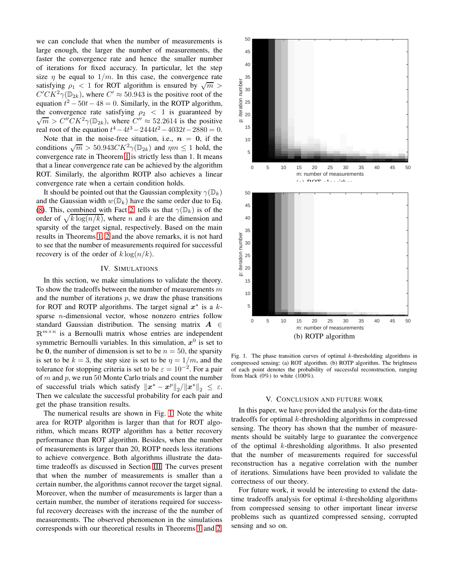we can conclude that when the number of measurements is large enough, the larger the number of measurements, the faster the convergence rate and hence the smaller number of iterations for fixed accuracy. In particular, let the step size  $\eta$  be equal to  $1/m$ . In this case, the convergence rate satisfying  $\rho_1 < 1$  for ROT algorithm is ensured by  $\sqrt{m} >$  $C'CK^2\gamma(\mathbb{D}_{2k})$ , where  $C' \approx 50.943$  is the positive root of the equation  $t^2 - 50t - 48 = 0$ . Similarly, in the ROTP algorithm, the convergence rate satisfying  $\rho_2 < 1$  is guaranteed by  $\sqrt{m} > C''CK^2\gamma(\mathbb{D}_{2k})$ , where  $C'' \approx 52.2614$  is the positive real root of the equation  $t^4 - 4t^3 - 2444t^2 - 4032t - 2880 = 0$ .

Note that in the noise-free situation, i.e.,  $n = 0$ , if the conditions  $\sqrt{m} > 50.943 C K^2 \gamma(\mathbb{D}_{2k})$  and  $\eta m \le 1$  hold, the convergence rate in Theorem [1](#page-2-1) is strictly less than 1. It means that a linear convergence rate can be achieved by the algorithm ROT. Similarly, the algorithm ROTP also achieves a linear convergence rate when a certain condition holds.

It should be pointed out that the Gaussian complexity  $\gamma(\mathbb{D}_k)$ and the Gaussian width  $w(\mathbb{D}_k)$  have the same order due to Eq. [\(8\)](#page-1-3). This, combined with Fact [2,](#page-6-2) tells us that  $\gamma(\mathbb{D}_k)$  is of the order of  $\sqrt{k \log(n/k)}$ , where n and k are the dimension and sparsity of the target signal, respectively. Based on the main results in Theorems [1,](#page-2-1) [2](#page-3-0) and the above remarks, it is not hard to see that the number of measurements required for successful recovery is of the order of  $k \log(n/k)$ .

#### IV. SIMULATIONS

<span id="page-4-0"></span>In this section, we make simulations to validate the theory. To show the tradeoffs between the number of measurements  $m$ and the number of iterations  $p$ , we draw the phase transitions for ROT and ROTP algorithms. The target signal  $x^*$  is a ksparse *n*-dimensional vector, whose nonzero entries follow standard Gaussian distribution. The sensing matrix  $A \in$  $\mathbb{R}^{m \times n}$  is a Bernoulli matrix whose entries are independent symmetric Bernoulli variables. In this simulation,  $x^0$  is set to be 0, the number of dimension is set to be  $n = 50$ , the sparsity is set to be  $k = 3$ , the step size is set to be  $\eta = 1/m$ , and the tolerance for stopping criteria is set to be  $\varepsilon = 10^{-2}$ . For a pair of  $m$  and  $p$ , we run 50 Monte Carlo trials and count the number of successful trials which satisfy  $\|x^{*}-x^{p}\|_{2}/\|x^{*}\|_{2} \leq \varepsilon$ . Then we calculate the successful probability for each pair and get the phase transition results.

The numerical results are shown in Fig. [1.](#page-4-2) Note the white area for ROTP algorithm is larger than that for ROT algorithm, which means ROTP algorithm has a better recovery performance than ROT algorithm. Besides, when the number of measurements is larger than 20, ROTP needs less iterations to achieve convergence. Both algorithms illustrate the datatime tradeoffs as discussed in Section [III.](#page-2-0) The curves present that when the number of measurements is smaller than a certain number, the algorithms cannot recover the target signal. Moreover, when the number of measurements is larger than a certain number, the number of iterations required for successful recovery decreases with the increase of the the number of measurements. The observed phenomenon in the simulations corresponds with our theoretical results in Theorems [1](#page-2-1) and [2.](#page-3-0)



<span id="page-4-2"></span>Fig. 1. The phase transition curves of optimal  $k$ -thresholding algorithms in compressed sensing: (a) ROT algorithm. (b) ROTP algorithm. The brightness of each point denotes the probability of successful reconstruction, ranging from black  $(0\%)$  to white  $(100\%).$ 

#### V. CONCLUSION AND FUTURE WORK

<span id="page-4-1"></span>In this paper, we have provided the analysis for the data-time tradeoffs for optimal  $k$ -thresholding algorithms in compressed sensing. The theory has shown that the number of measurements should be suitably large to guarantee the convergence of the optimal  $k$ -thresholding algorithms. It also presented that the number of measurements required for successful reconstruction has a negative correlation with the number of iterations. Simulations have been provided to validate the correctness of our theory.

For future work, it would be interesting to extend the datatime tradeoffs analysis for optimal  $k$ -thresholding algorithms from compressed sensing to other important linear inverse problems such as quantized compressed sensing, corrupted sensing and so on.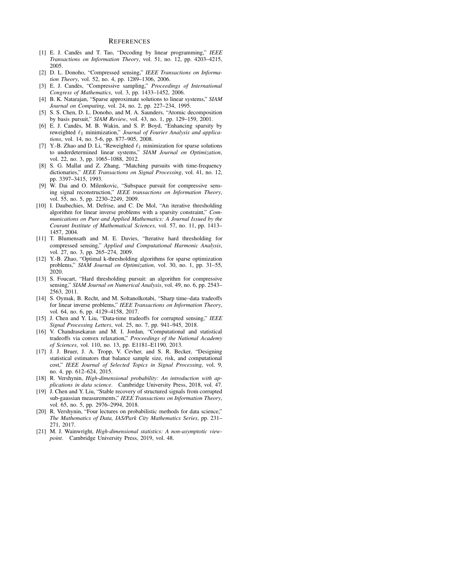#### **REFERENCES**

- <span id="page-5-0"></span>[1] E. J. Cand`es and T. Tao, "Decoding by linear programming," *IEEE Transactions on Information Theory*, vol. 51, no. 12, pp. 4203–4215, 2005.
- [2] D. L. Donoho, "Compressed sensing," *IEEE Transactions on Information Theory*, vol. 52, no. 4, pp. 1289–1306, 2006.
- <span id="page-5-1"></span>[3] E. J. Cand`es, "Compressive sampling," *Proceedings of International Congress of Mathematics*, vol. 3, pp. 1433–1452, 2006.
- <span id="page-5-2"></span>[4] B. K. Natarajan, "Sparse approximate solutions to linear systems," *SIAM Journal on Computing*, vol. 24, no. 2, pp. 227–234, 1995.
- <span id="page-5-3"></span>[5] S. S. Chen, D. L. Donoho, and M. A. Saunders, "Atomic decomposition by basis pursuit," *SIAM Review*, vol. 43, no. 1, pp. 129–159, 2001.
- [6] E. J. Candès, M. B. Wakin, and S. P. Boyd, "Enhancing sparsity by reweighted ℓ<sup>1</sup> minimization," *Journal of Fourier Analysis and applications*, vol. 14, no. 5-6, pp. 877–905, 2008.
- <span id="page-5-4"></span>[7] Y.-B. Zhao and D. Li, "Reweighted  $\ell_1$  minimization for sparse solutions to underdetermined linear systems," *SIAM Journal on Optimization*, vol. 22, no. 3, pp. 1065–1088, 2012.
- <span id="page-5-5"></span>[8] S. G. Mallat and Z. Zhang, "Matching pursuits with time-frequency dictionaries," *IEEE Transactions on Signal Processing*, vol. 41, no. 12, pp. 3397–3415, 1993.
- <span id="page-5-6"></span>[9] W. Dai and O. Milenkovic, "Subspace pursuit for compressive sensing signal reconstruction," *IEEE transactions on Information Theory*, vol. 55, no. 5, pp. 2230–2249, 2009.
- <span id="page-5-7"></span>[10] I. Daubechies, M. Defrise, and C. De Mol, "An iterative thresholding algorithm for linear inverse problems with a sparsity constraint," *Communications on Pure and Applied Mathematics: A Journal Issued by the Courant Institute of Mathematical Sciences*, vol. 57, no. 11, pp. 1413– 1457, 2004.
- <span id="page-5-9"></span>[11] T. Blumensath and M. E. Davies, "Iterative hard thresholding for compressed sensing," *Applied and Computational Harmonic Analysis*, vol. 27, no. 3, pp. 265–274, 2009.
- <span id="page-5-8"></span>[12] Y.-B. Zhao, "Optimal k-thresholding algorithms for sparse optimization problems," *SIAM Journal on Optimization*, vol. 30, no. 1, pp. 31–55, 2020.
- <span id="page-5-10"></span>[13] S. Foucart, "Hard thresholding pursuit: an algorithm for compressive sensing," *SIAM Journal on Numerical Analysis*, vol. 49, no. 6, pp. 2543– 2563, 2011.
- <span id="page-5-11"></span>[14] S. Oymak, B. Recht, and M. Soltanolkotabi, "Sharp time–data tradeoffs for linear inverse problems," *IEEE Transactions on Information Theory*, vol. 64, no. 6, pp. 4129–4158, 2017.
- <span id="page-5-12"></span>[15] J. Chen and Y. Liu, "Data-time tradeoffs for corrupted sensing," *IEEE Signal Processing Letters*, vol. 25, no. 7, pp. 941–945, 2018.
- <span id="page-5-13"></span>[16] V. Chandrasekaran and M. I. Jordan, "Computational and statistical tradeoffs via convex relaxation," *Proceedings of the National Academy of Sciences*, vol. 110, no. 13, pp. E1181–E1190, 2013.
- <span id="page-5-14"></span>[17] J. J. Bruer, J. A. Tropp, V. Cevher, and S. R. Becker, "Designing statistical estimators that balance sample size, risk, and computational cost," *IEEE Journal of Selected Topics in Signal Processing*, vol. 9, no. 4, pp. 612–624, 2015.
- <span id="page-5-15"></span>[18] R. Vershynin, *High-dimensional probability: An introduction with applications in data science*. Cambridge University Press, 2018, vol. 47.
- <span id="page-5-16"></span>[19] J. Chen and Y. Liu, "Stable recovery of structured signals from corrupted sub-gaussian measurements," *IEEE Transactions on Information Theory*, vol. 65, no. 5, pp. 2976–2994, 2018.
- <span id="page-5-17"></span>[20] R. Vershynin, "Four lectures on probabilistic methods for data science," *The Mathematics of Data, IAS/Park City Mathematics Series*, pp. 231– 271, 2017.
- <span id="page-5-18"></span>[21] M. J. Wainwright, *High-dimensional statistics: A non-asymptotic viewpoint*. Cambridge University Press, 2019, vol. 48.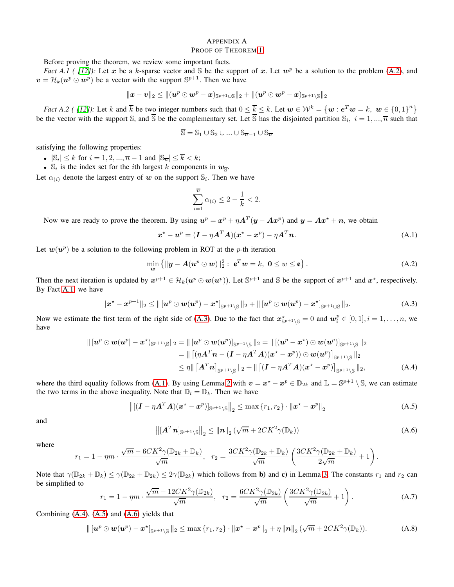# <span id="page-6-0"></span>APPENDIX A

# PROOF OF THEOREM [1](#page-2-1)

Before proving the theorem, we review some important facts.

*Fact A.1 ( [\[12\]](#page-5-8)*): Let x be a k-sparse vector and S be the support of x. Let  $w^p$  be a solution to the problem [\(A.2\)](#page-6-3), and  $v = \mathcal{H}_k(u^p \odot w^p)$  be a vector with the support  $\mathbb{S}^{p+1}$ . Then we have

$$
\|\bm{x}-\bm{v}\|_2 \leq \|(\bm{u}^p \odot \bm{w}^p - \bm{x})_{\mathbb{S}^{p+1} \cup \mathbb{S}}\|_2 + \|(\bm{u}^p \odot \bm{w}^p - \bm{x})_{\mathbb{S}^{p+1} \setminus \mathbb{S}}\|_2
$$

<span id="page-6-2"></span>*Fact A.2 ( [\[12\]](#page-5-8))*: Let k and  $\overline{k}$  be two integer numbers such that  $0 \leq \overline{k} \leq k$ . Let  $w \in \mathcal{W}^k = \{w : e^T w = k, w \in \{0,1\}^n\}$ be the vector with the support S, and  $\overline{S}$  be the complementary set. Let  $\overline{S}$  has the disjointed partition  $S_i$ ,  $i = 1, ..., \overline{n}$  such that

$$
\overline{\mathbb{S}} = \mathbb{S}_1 \cup \mathbb{S}_2 \cup \ldots \cup \mathbb{S}_{\overline{n}-1} \cup \mathbb{S}_{\overline{n}}
$$

satisfying the following properties:

- $|\mathbb{S}_i| \leq k$  for  $i = 1, 2, ..., \overline{n} 1$  and  $|\mathbb{S}_{\overline{n}}| \leq \overline{k} < k$ ;
- $\mathbb{S}_i$  is the index set for the *i*th largest k components in  $w_{\overline{S}}$ .

Let  $\alpha_{(i)}$  denote the largest entry of w on the support  $\mathbb{S}_i$ . Then we have

$$
\sum_{i=1}^{\overline{n}} \alpha_{(i)} \leq 2 - \frac{1}{k} < 2.
$$

Now we are ready to prove the theorem. By using  $u^p = x^p + \eta A^T(y - Ax^p)$  and  $y = Ax^* + n$ , we obtain

<span id="page-6-5"></span>
$$
\boldsymbol{x}^* - \boldsymbol{u}^p = (\boldsymbol{I} - \eta \boldsymbol{A}^T \boldsymbol{A})(\boldsymbol{x}^* - \boldsymbol{x}^p) - \eta \boldsymbol{A}^T \boldsymbol{n}.
$$
 (A.1)

Let  $w(u^p)$  be a solution to the following problem in ROT at the p-th iteration

<span id="page-6-3"></span>
$$
\min_{\mathbf{w}} \left\{ \|\mathbf{y} - \mathbf{A}(\mathbf{u}^p \odot \mathbf{w})\|_2^2 : \ \mathbf{e}^T \mathbf{w} = k, \ \mathbf{0} \le \mathbf{w} \le \mathbf{e} \right\}.
$$
 (A.2)

Then the next iteration is updated by  $x^{p+1} \in \mathcal{H}_k(u^p \odot w(u^p))$ . Let  $\mathbb{S}^{p+1}$  and  $\mathbb{S}$  be the support of  $x^{p+1}$  and  $x^*$ , respectively. By Fact [A.1,](#page-6-0) we have

<span id="page-6-4"></span>
$$
\|x^* - x^{p+1}\|_2 \le \|\left[u^p \odot w(u^p) - x^*\right]_{\mathbb{S}^{p+1}\setminus\mathbb{S}}\|_2 + \|\left[u^p \odot w(u^p) - x^*\right]_{\mathbb{S}^{p+1}\cup\mathbb{S}}\|_2.
$$
 (A.3)

Now we estimate the first term of the right side of [\(A.3\)](#page-6-4). Due to the fact that  $x_{\mathbb{S}^{p+1}\setminus\mathbb{S}}^{\star}=0$  and  $w_i^p \in [0,1], i=1,\ldots,n$ , we have

$$
\| [u^p \odot w(u^p] - x^{\star})_{\mathbb{S}^{p+1} \setminus \mathbb{S}} \|_2 = \| [u^p \odot w(u^p)]_{\mathbb{S}^{p+1} \setminus \mathbb{S}} \|_2 = \| [(u^p - x^{\star}) \odot w(u^p)]_{\mathbb{S}^{p+1} \setminus \mathbb{S}} \|_2
$$
  
\n
$$
= \| [(\eta A^T n - (I - \eta A^T A)(x^{\star} - x^p)) \odot w(u^p)]_{\mathbb{S}^{p+1} \setminus \mathbb{S}} \|_2
$$
  
\n
$$
\leq \eta \| [A^T n]_{\mathbb{S}^{p+1} \setminus \mathbb{S}} \|_2 + \| [ (I - \eta A^T A)(x^{\star} - x^p)]_{\mathbb{S}^{p+1} \setminus \mathbb{S}} \|_2, \tag{A.4}
$$

where the third equality follows from [\(A.1\)](#page-6-5). By using Lemma [2](#page-2-2) with  $v = x^* - x^p \in \mathbb{D}_{2k}$  and  $\mathbb{L} = \mathbb{S}^{p+1} \setminus \mathbb{S}$ , we can estimate the two terms in the above inequality. Note that  $\mathbb{D}_l = \mathbb{D}_k$ . Then we have

<span id="page-6-7"></span>
$$
\left\| [(\bm{I} - \eta \bm{A}^T \bm{A})(\bm{x}^* - \bm{x}^p)]_{\mathbb{S}^{p+1} \setminus \mathbb{S}} \right\|_2 \le \max \left\{ r_1, r_2 \right\} \cdot \left\| \bm{x}^* - \bm{x}^p \right\|_2 \tag{A.5}
$$

and

<span id="page-6-8"></span><span id="page-6-6"></span>
$$
\left\| \left[ \mathbf{A}^T \mathbf{n} \right]_{\mathbb{S}^{p+1} \setminus \mathbb{S}} \right\|_2 \leq \left\| \mathbf{n} \right\|_2 \left( \sqrt{m} + 2CK^2 \gamma(\mathbb{D}_k) \right) \tag{A.6}
$$

where

$$
r_1 = 1 - \eta m \cdot \frac{\sqrt{m} - 6CK^2 \gamma (\mathbb{D}_{2k} + \mathbb{D}_k)}{\sqrt{m}}, \quad r_2 = \frac{3CK^2 \gamma (\mathbb{D}_{2k} + \mathbb{D}_k)}{\sqrt{m}} \left( \frac{3CK^2 \gamma (\mathbb{D}_{2k} + \mathbb{D}_k)}{2\sqrt{m}} + 1 \right).
$$

Note that  $\gamma(\mathbb{D}_{2k} + \mathbb{D}_k) \leq \gamma(\mathbb{D}_{2k} + \mathbb{D}_{2k}) \leq 2\gamma(\mathbb{D}_{2k})$  which follows from **b**) and **c**) in Lemma [3.](#page-2-3) The constants  $r_1$  and  $r_2$  can be simplified to

<span id="page-6-9"></span>
$$
r_1 = 1 - \eta m \cdot \frac{\sqrt{m} - 12CK^2 \gamma(\mathbb{D}_{2k})}{\sqrt{m}}, \quad r_2 = \frac{6CK^2 \gamma(\mathbb{D}_{2k})}{\sqrt{m}} \left(\frac{3CK^2 \gamma(\mathbb{D}_{2k})}{\sqrt{m}} + 1\right). \tag{A.7}
$$

Combining [\(A.4\)](#page-6-6), [\(A.5\)](#page-6-7) and [\(A.6\)](#page-6-8) yields that

<span id="page-6-1"></span>
$$
\| [u^p \odot w(u^p) - x^{\star}]_{\mathbb{S}^{p+1} \setminus \mathbb{S}} \|_2 \leq \max \{ r_1, r_2 \} \cdot \| x^{\star} - x^p \|_2 + \eta \| n \|_2 (\sqrt{m} + 2CK^2 \gamma(\mathbb{D}_k)).
$$
 (A.8)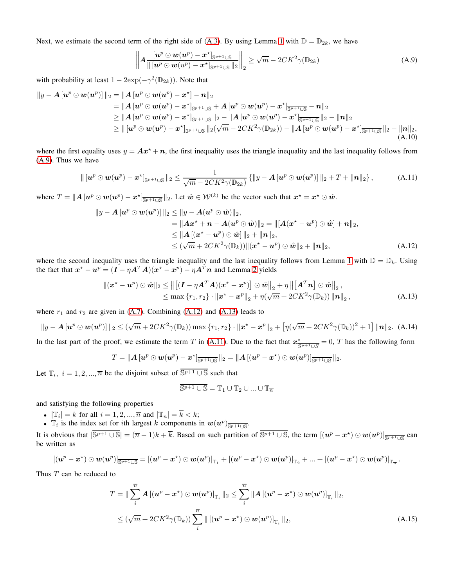Next, we estimate the second term of the right side of [\(A.3\)](#page-6-4). By using Lemma [1](#page-6-0) with  $\mathbb{D} = \mathbb{D}_{2k}$ , we have

<span id="page-7-1"></span>
$$
\left\| A \frac{[\boldsymbol{u}^p \odot \boldsymbol{w}(\boldsymbol{u}^p) - \boldsymbol{x}^{\star}]_{\mathbb{S}^{p+1} \cup \mathbb{S}}}{\|\boldsymbol{u}^p \odot \boldsymbol{w}(\boldsymbol{u}^p) - \boldsymbol{x}^{\star}\|_{\mathbb{S}^{p+1} \cup \mathbb{S}}\|_2} \right\|_2 \ge \sqrt{m} - 2CK^2 \gamma(\mathbb{D}_{2k})
$$
\n(A.9)

with probability at least  $1 - 2 \exp(-\gamma^2(\mathbb{D}_{2k}))$ . Note that

$$
||y - A [u^p \odot w(u^p)]||_2 = ||A [u^p \odot w(u^p) - x^*] - n||_2
$$
  
\n
$$
= ||A [u^p \odot w(u^p) - x^*]_{\mathbb{S}^{p+1} \cup \mathbb{S}} + A [u^p \odot w(u^p) - x^*]_{\mathbb{S}^{p+1} \cup \mathbb{S}} - n||_2
$$
  
\n
$$
\ge ||A [u^p \odot w(u^p) - x^*]_{\mathbb{S}^{p+1} \cup \mathbb{S}} ||_2 - ||A [u^p \odot w(u^p) - x^*]_{\mathbb{S}^{p+1} \cup \mathbb{S}} ||_2 - ||n||_2
$$
  
\n
$$
\ge ||[u^p \odot w(u^p) - x^*]_{\mathbb{S}^{p+1} \cup \mathbb{S}} ||_2 (\sqrt{m} - 2CK^2 \gamma(\mathbb{D}_{2k})) - ||A [u^p \odot w(u^p) - x^*]_{\mathbb{S}^{p+1} \cup \mathbb{S}} ||_2 - ||n||_2,
$$
  
\n(A.10)

where the first equality uses  $y = Ax^* + n$ , the first inequality uses the triangle inequality and the last inequality follows from [\(A.9\)](#page-7-1). Thus we have

<span id="page-7-0"></span>
$$
\| \left[\boldsymbol{u}^p \odot \boldsymbol{w}(\boldsymbol{u}^p) - \boldsymbol{x}^{\star} \right]_{\mathbb{S}^{p+1} \cup \mathbb{S}} \|_2 \leq \frac{1}{\sqrt{m} - 2CK^2 \gamma(\mathbb{D}_{2k})} \left\{ \|y - \boldsymbol{A}[\boldsymbol{u}^p \odot \boldsymbol{w}(\boldsymbol{u}^p)] \|_2 + T + \|\boldsymbol{n}\|_2 \right\},\tag{A.11}
$$

where  $T = ||A [u^p \odot w(u^p) - x^{\star}]_{\overline{\mathbb{S}^{p+1} \cup \mathbb{S}}} ||_2$ . Let  $\hat{w} \in \mathcal{W}^{(k)}$  be the vector such that  $x^{\star} = x^{\star} \odot \hat{w}$ .

$$
||y - A [u^p \odot w(u^p)] ||_2 \le ||y - A(u^p \odot \hat{w})||_2,
$$
  
\n
$$
= ||Ax^* + n - A(u^p \odot \hat{w})||_2 = ||[A(x^* - u^p) \odot \hat{w}] + n||_2,
$$
  
\n
$$
\le ||A [(x^* - u^p) \odot \hat{w}]||_2 + ||n||_2,
$$
  
\n
$$
\le (\sqrt{m} + 2CK^2 \gamma(\mathbb{D}_k)) ||(x^* - u^p) \odot \hat{w}||_2 + ||n||_2,
$$
 (A.12)

where the second inequality uses the triangle inequality and the last inequality follows from Lemma [1](#page-6-0) with  $\mathbb{D} = \mathbb{D}_k$ . Using the fact that  $x^* - u^p = (I - \eta A^T A)(x^* - x^p) - \eta A^T n$  and Lemma [2](#page-2-2) yields

$$
\begin{aligned} ||(\boldsymbol{x}^{\star}-\boldsymbol{u}^{p})\odot \hat{\boldsymbol{w}}||_{2} &\leq \left\|\left[(\boldsymbol{I}-\eta \boldsymbol{A}^{T}\boldsymbol{A})(\boldsymbol{x}^{\star}-\boldsymbol{x}^{p})\right]\odot \hat{\boldsymbol{w}}\right\|_{2}+\eta\left\|\left[\boldsymbol{A}^{T}\boldsymbol{n}\right]\odot \hat{\boldsymbol{w}}\right\|_{2}, \\ &\leq \max\left\{r_{1},r_{2}\right\}\cdot\left\|\boldsymbol{x}^{\star}-\boldsymbol{x}^{p}\right\|_{2}+\eta(\sqrt{m}+2CK^{2}\gamma(\mathbb{D}_{k}))\left\|\boldsymbol{n}\right\|_{2}, \end{aligned} \tag{A.13}
$$

where  $r_1$  and  $r_2$  are given in [\(A.7\)](#page-6-9). Combining [\(A.12\)](#page-7-2) and [\(A.13\)](#page-7-3) leads to

<span id="page-7-4"></span>
$$
||y - A[u^p \odot w(u^p)]||_2 \leq (\sqrt{m} + 2CK^2\gamma(\mathbb{D}_k)) \max\{r_1, r_2\} \cdot ||x^\star - x^p||_2 + \left[\eta(\sqrt{m} + 2CK^2\gamma(\mathbb{D}_k))^2 + 1\right] ||n||_2.
$$
 (A.14)

In the last part of the proof, we estimate the term T in [\(A.11\)](#page-7-0). Due to the fact that  $x^*_{S^{p+1}\cup S} = 0$ , T has the following form

$$
T=\|\boldsymbol{A}\left[\boldsymbol{u}^p\odot\boldsymbol{w}(\boldsymbol{u}^p)-\boldsymbol{x}^\star\right]_{\overline{\mathbb{S}^{p+1}\cup\mathbb{S}}}\|_2=\|\boldsymbol{A}\left[(\boldsymbol{u}^p-\boldsymbol{x}^\star)\odot\boldsymbol{w}(\boldsymbol{u}^p)\right]_{\overline{\mathbb{S}^{p+1}\cup\mathbb{S}}}\|_2.
$$

Let  $\mathbb{T}_i$ ,  $i = 1, 2, ..., \overline{n}$  be the disjoint subset of  $\overline{\mathbb{S}^{p+1} \cup \mathbb{S}}$  such that

<span id="page-7-3"></span><span id="page-7-2"></span>
$$
\overline{\mathbb{S}^{p+1}\cup \mathbb{S}} = \mathbb{T}_1 \cup \mathbb{T}_2 \cup \ldots \cup \mathbb{T}_{\overline{n}}
$$

and satisfying the following properties

- $|\mathbb{T}_i| = k$  for all  $i = 1, 2, ..., \overline{n}$  and  $|\mathbb{T}_{\overline{n}}| = \overline{k} < k$ ;
- $\mathbb{T}_i$  is the index set for *i*th largest k components in  $w(u^p)_{\frac{\mathbb{S}^{p+1}\cup\mathbb{S}^p}{2}}$ .

It is obvious that  $|\overline{S^{p+1} \cup S}| = (\overline{n} - 1)k + \overline{k}$ . Based on such partition of  $\overline{S^{p+1} \cup S}$ , the term  $[(u^p - x^*) \odot w(u^p)]_{\overline{S^{p+1} \cup S}}$  can be written as

$$
\left[(\boldsymbol{u}^p-\boldsymbol{x}^\star) \odot \boldsymbol{w}(\boldsymbol{u}^p)\right]_{\overline{\mathbb{S}^{p+1}\cup \mathbb{S}}} = \left[(\boldsymbol{u}^p-\boldsymbol{x}^\star) \odot \boldsymbol{w}(\boldsymbol{u}^p)\right]_{\mathbb{T}_1} + \left[(\boldsymbol{u}^p-\boldsymbol{x}^\star) \odot \boldsymbol{w}(\boldsymbol{u}^p)\right]_{\mathbb{T}_2} + ... + \left[(\boldsymbol{u}^p-\boldsymbol{x}^\star) \odot \boldsymbol{w}(\boldsymbol{u}^p)\right]_{\mathbb{T}_n}.
$$

Thus T can be reduced to

$$
T = \|\sum_{i}^{\overline{n}} A\left[(\boldsymbol{u}^{p} - \boldsymbol{x}^{\star}) \odot \boldsymbol{w}(\boldsymbol{u}^{p})\right]_{\mathbb{T}_{i}} \|_{2} \leq \sum_{i}^{\overline{n}} \|A\left[(\boldsymbol{u}^{p} - \boldsymbol{x}^{\star}) \odot \boldsymbol{w}(\boldsymbol{u}^{p})\right]_{\mathbb{T}_{i}} \|_{2},
$$
  

$$
\leq (\sqrt{m} + 2CK^{2}\gamma(\mathbb{D}_{k})) \sum_{i}^{\overline{n}} \|\left[(\boldsymbol{u}^{p} - \boldsymbol{x}^{\star}) \odot \boldsymbol{w}(\boldsymbol{u}^{p})\right]_{\mathbb{T}_{i}} \|_{2},
$$
 (A.15)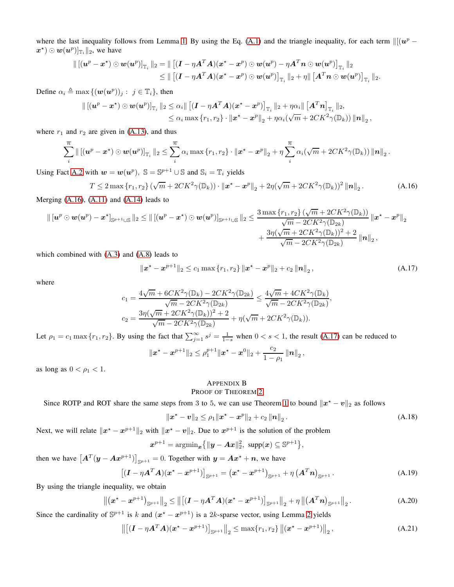where the last inequality follows from Lemma [1.](#page-6-0) By using the Eq. [\(A.1\)](#page-6-5) and the triangle inequality, for each term  $\Vert [(\mathbf{u}^p - \mathbf{v})^T \mathbf{v}] \Vert_2^2$  $(\bm{x}^{\star}) \odot \bm{w}(\bm{u}^p)]_{\mathbb{T}_i} \|_2$ , we have

$$
\begin{aligned} \|\left[(\boldsymbol{u}^p-\boldsymbol{x}^\star) \odot \boldsymbol{w}(\boldsymbol{u}^p)\right]_{\mathbb{T}_i}\|_2 &= \|\left[(\boldsymbol{I}-\eta \boldsymbol{A}^T\boldsymbol{A})(\boldsymbol{x}^\star-\boldsymbol{x}^p) \odot \boldsymbol{w}(\boldsymbol{u}^p)-\eta \boldsymbol{A}^T\boldsymbol{n} \odot \boldsymbol{w}(\boldsymbol{u}^p)\right]_{\mathbb{T}_i}\|_2 \\ &\leq \|\left[(\boldsymbol{I}-\eta \boldsymbol{A}^T\boldsymbol{A})(\boldsymbol{x}^\star-\boldsymbol{x}^p) \odot \boldsymbol{w}(\boldsymbol{u}^p)\right]_{\mathbb{T}_i}\|_2 + \eta \|\left[\boldsymbol{A}^T\boldsymbol{n} \odot \boldsymbol{w}(\boldsymbol{u}^p)\right]_{\mathbb{T}_i}\|_2. \end{aligned}
$$

Define  $\alpha_i \triangleq \max \{(\boldsymbol{w}(\boldsymbol{u}^p))_j : j \in \mathbb{T}_i\}$ , then

$$
\begin{aligned} \left\| \left[ (\boldsymbol{u}^p - \boldsymbol{x}^\star) \odot \boldsymbol{w}(\boldsymbol{u}^p) \right]_{\mathbb{T}_i} \right\|_2 &\leq \alpha_i \|\left[ (\boldsymbol{I} - \eta \boldsymbol{A}^T \boldsymbol{A}) (\boldsymbol{x}^\star - \boldsymbol{x}^p) \right]_{\mathbb{T}_i} \right\|_2 + \eta \alpha_i \|\left[ \boldsymbol{A}^T \boldsymbol{n} \right]_{\mathbb{T}_i} \|_2, \\ &\leq \alpha_i \max \left\{ r_1, r_2 \right\} \cdot \|\boldsymbol{x}^\star - \boldsymbol{x}^p \|_2 + \eta \alpha_i (\sqrt{m} + 2 C K^2 \gamma(\mathbb{D}_k)) \left\| \boldsymbol{n} \right\|_2, \end{aligned}
$$

where  $r_1$  and  $r_2$  are given in [\(A.13\)](#page-7-3), and thus

$$
\sum_{i}^{\overline{n}}\|\left[(\boldsymbol{u}^p-\boldsymbol{x}^\star)\odot\boldsymbol{w}(\boldsymbol{u}^p)\right]_{\mathbb{T}_i}\|_2 \leq \sum_{i}^{\overline{n}}\alpha_i\max\left\{r_1,r_2\right\}\cdot\|\boldsymbol{x}^\star-\boldsymbol{x}^p\|_2+\eta\sum_{i}^{\overline{n}}\alpha_i(\sqrt{m}+2CK^2\gamma(\mathbb{D}_k))\|\boldsymbol{n}\|_2.
$$

Using Fact [A.2](#page-6-2) with  $w = w(u^p)$ ,  $\mathbb{S} = \mathbb{S}^{p+1} \cup \mathbb{S}$  and  $\mathbb{S}_i = \mathbb{T}_i$  yields

<span id="page-8-0"></span>
$$
T \le 2 \max \{r_1, r_2\} \left( \sqrt{m} + 2CK^2 \gamma(\mathbb{D}_k) \right) \cdot \left\| \boldsymbol{x}^* - \boldsymbol{x}^p \right\|_2 + 2\eta \left( \sqrt{m} + 2CK^2 \gamma(\mathbb{D}_k) \right)^2 \left\| \boldsymbol{n} \right\|_2. \tag{A.16}
$$

Merging [\(A.16\)](#page-8-0), [\(A.11\)](#page-7-0) and [\(A.14\)](#page-7-4) leads to

$$
\begin{aligned} \|\left[\boldsymbol{u}^p\odot \boldsymbol{w}(\boldsymbol{u}^p)-\boldsymbol{x}^\star\right]_{\mathbb{S}^{p+1}\cup\mathbb{S}}\|_2 &\leq \|\left[(\boldsymbol{u}^p-\boldsymbol{x}^\star)\odot \boldsymbol{w}(\boldsymbol{u}^p)\right]_{\mathbb{S}^{p+1}\cup\mathbb{S}}\|_2 \leq \frac{3\max\left\{r_1,r_2\right\}(\sqrt{m}+2CK^2\gamma(\mathbb{D}_k))}{\sqrt{m}-2CK^2\gamma(\mathbb{D}_{2k})}\left\|\boldsymbol{x}^\star-\boldsymbol{x}^p\right\|_2\\ &+\frac{3\eta(\sqrt{m}+2CK^2\gamma(\mathbb{D}_k))^2+2}{\sqrt{m}-2CK^2\gamma(\mathbb{D}_{2k})}\left\|\boldsymbol{n}\right\|_2, \end{aligned}
$$

which combined with [\(A.3\)](#page-6-4) and [\(A.8\)](#page-6-1) leads to

<span id="page-8-1"></span>
$$
\|\boldsymbol{x}^{\star}-\boldsymbol{x}^{p+1}\|_{2} \leq c_{1} \max\{r_{1},r_{2}\} \|\boldsymbol{x}^{\star}-\boldsymbol{x}^{p}\|_{2}+c_{2} \|\boldsymbol{n}\|_{2}, \tag{A.17}
$$

,

where

$$
c_1 = \frac{4\sqrt{m} + 6CK^2\gamma(\mathbb{D}_k) - 2CK^2\gamma(\mathbb{D}_{2k})}{\sqrt{m} - 2CK^2\gamma(\mathbb{D}_{2k})} \le \frac{4\sqrt{m} + 4CK^2\gamma(\mathbb{D}_k)}{\sqrt{m} - 2CK^2\gamma(\mathbb{D}_{2k})}
$$
  

$$
c_2 = \frac{3\eta(\sqrt{m} + 2CK^2\gamma(\mathbb{D}_k))^2 + 2}{\sqrt{m} - 2CK^2\gamma(\mathbb{D}_{2k})} + \eta(\sqrt{m} + 2CK^2\gamma(\mathbb{D}_k)).
$$

Let  $\rho_1 = c_1 \max \{r_1, r_2\}$ . By using the fact that  $\sum_{j=1}^{\infty} s^j = \frac{1}{1-s}$  when  $0 < s < 1$ , the result [\(A.17\)](#page-8-1) can be reduced to

$$
\|\bm{x}^{\star}-\bm{x}^{p+1}\|_2 \leq \rho_1^{p+1} \|\bm{x}^{\star}-\bm{x}^0\|_2 + \frac{c_2}{1-\rho_1} \left\|\bm{n}\right\|_2,
$$

as long as  $0 < \rho_1 < 1$ .

# APPENDIX B

# PROOF OF THEOREM [2](#page-3-0)

Since ROTP and ROT share the same steps from 3 to 5, we can use Theorem [1](#page-2-1) to bound  $\|\mathbf{x}^* - \mathbf{v}\|_2$  as follows

<span id="page-8-2"></span>
$$
\|\boldsymbol{x}^{\star}-\boldsymbol{v}\|_{2} \leq \rho_{1} \|\boldsymbol{x}^{\star}-\boldsymbol{x}^{p}\|_{2}+c_{2} \|\boldsymbol{n}\|_{2}.
$$
 (A.18)

Next, we will relate  $||x^* - x^{p+1}||_2$  with  $||x^* - v||_2$ . Due to  $x^{p+1}$  is the solution of the problem

$$
\boldsymbol{x}^{p+1} = \mathrm{argmin}_{\boldsymbol{x}} \{ ||\boldsymbol{y} - \boldsymbol{A}\boldsymbol{x}||_2^2, \ \mathrm{supp}(\boldsymbol{x}) \subseteq \mathbb{S}^{p+1} \},
$$

then we have  $\left[A^T(y - Ax^{p+1})\right]_{\mathbb{S}^{p+1}} = 0$ . Together with  $y = Ax^* + n$ , we have

$$
[(\boldsymbol{I} - \eta \boldsymbol{A}^T \boldsymbol{A})(\boldsymbol{x}^* - \boldsymbol{x}^{p+1})]_{\mathbb{S}^{p+1}} = (\boldsymbol{x}^* - \boldsymbol{x}^{p+1})_{\mathbb{S}^{p+1}} + \eta (\boldsymbol{A}^T \boldsymbol{n})_{\mathbb{S}^{p+1}}.
$$
\n(A.19)

By using the triangle inequality, we obtain

$$
\left\| \left( \boldsymbol{x}^{\star} - \boldsymbol{x}^{p+1} \right)_{\mathbb{S}^{p+1}} \right\|_{2} \leq \left\| \left[ (\boldsymbol{I} - \eta \boldsymbol{A}^{T} \boldsymbol{A}) (\boldsymbol{x}^{\star} - \boldsymbol{x}^{p+1}) \right]_{\mathbb{S}^{p+1}} \right\|_{2} + \eta \left\| \left( \boldsymbol{A}^{T} \boldsymbol{n} \right)_{\mathbb{S}^{p+1}} \right\|_{2}.
$$
\n(A.20)

Since the cardinality of  $\mathbb{S}^{p+1}$  is k and  $(x^* - x^{p+1})$  is a [2](#page-2-2)k-sparse vector, using Lemma 2 yields

$$
\left\| \left[ (I - \eta A^T A)(\mathbf{x}^* - \mathbf{x}^{p+1}) \right]_{\mathbb{S}^{p+1}} \right\|_2 \leq \max\{r_1, r_2\} \left\| (\mathbf{x}^* - \mathbf{x}^{p+1}) \right\|_2, \tag{A.21}
$$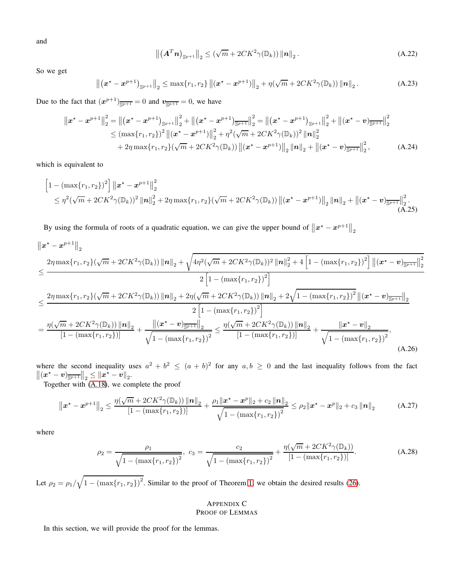and

$$
\left\| \left( \mathbf{A}^T \mathbf{n} \right)_{\mathbb{S}^{p+1}} \right\|_2 \leq \left( \sqrt{m} + 2CK^2 \gamma(\mathbb{D}_k) \right) \left\| \mathbf{n} \right\|_2.
$$
 (A.22)

So we get

$$
\left\| \left( \boldsymbol{x}^{\star} - \boldsymbol{x}^{p+1} \right)_{\mathbb{S}^{p+1}} \right\|_{2} \leq \max \{ r_{1}, r_{2} \} \left\| \left( \boldsymbol{x}^{\star} - \boldsymbol{x}^{p+1} \right) \right\|_{2} + \eta \left( \sqrt{m} + 2CK^{2} \gamma(\mathbb{D}_{k}) \right) \left\| \boldsymbol{n} \right\|_{2} . \tag{A.23}
$$

Due to the fact that  $(x^{p+1})_{\overline{\mathbb{S}^{p+1}}} = 0$  and  $v_{\overline{\mathbb{S}^{p+1}}} = 0$ , we have

$$
\|x^* - x^{p+1}\|_2^2 = \left\| (x^* - x^{p+1})_{\mathbb{S}^{p+1}} \right\|_2^2 + \left\| (x^* - x^{p+1})_{\mathbb{S}^{p+1}} \right\|_2^2 = \left\| (x^* - x^{p+1})_{\mathbb{S}^{p+1}} \right\|_2^2 + \left\| (x^* - v)_{\mathbb{S}^{p+1}} \right\|_2^2
$$
  
\n
$$
\leq (\max\{r_1, r_2\})^2 \left\| (x^* - x^{p+1}) \right\|_2^2 + \eta^2 (\sqrt{m} + 2CK^2 \gamma(\mathbb{D}_k))^2 \left\| \mathbf{n} \right\|_2^2
$$
  
\n
$$
+ 2\eta \max\{r_1, r_2\} (\sqrt{m} + 2CK^2 \gamma(\mathbb{D}_k)) \left\| (x^* - x^{p+1}) \right\|_2 \left\| \mathbf{n} \right\|_2 + \left\| (x^* - v)_{\mathbb{S}^{p+1}} \right\|_2^2, \tag{A.24}
$$

which is equivalent to

$$
\begin{aligned}\n&\left[1-\left(\max\{r_1,r_2\}\right)^2\right] \left\| \boldsymbol{x}^{\star}-\boldsymbol{x}^{p+1} \right\|_2^2 \\
&\leq \eta^2(\sqrt{m}+2CK^2\gamma(\mathbb{D}_k))^2 \left\| \boldsymbol{n} \right\|_2^2 + 2\eta \max\{r_1,r_2\} (\sqrt{m}+2CK^2\gamma(\mathbb{D}_k)) \left\| (\boldsymbol{x}^{\star}-\boldsymbol{x}^{p+1}) \right\|_2 \left\| \boldsymbol{n} \right\|_2 + \left\| (\boldsymbol{x}^{\star}-\boldsymbol{v})_{\overline{\mathbb{S}^{p+1}}} \right\|_2^2. \\
&\qquad \qquad \text{(A.25)}\n\end{aligned}
$$

By using the formula of roots of a quadratic equation, we can give the upper bound of  $||x^* - x^{p+1}||_2$ 

$$
\|x^{*}-x^{p+1}\|_{2}
$$
\n
$$
\leq \frac{2\eta \max\{r_{1},r_{2}\}(\sqrt{m}+2CK^{2}\gamma(\mathbb{D}_{k}))\|n\|_{2}+\sqrt{4\eta^{2}(\sqrt{m}+2CK^{2}\gamma(\mathbb{D}_{k}))^{2}\|n\|_{2}^{2}+4\left[1-\left(\max\{r_{1},r_{2}\}\right)^{2}\right]\left\|(x^{*}-v)_{\overline{\mathbb{S}^{p+1}}}\right\|_{2}^{2}}{2\left[1-\left(\max\{r_{1},r_{2}\}\right)^{2}\right]}
$$
\n
$$
\leq \frac{2\eta \max\{r_{1},r_{2}\}(\sqrt{m}+2CK^{2}\gamma(\mathbb{D}_{k}))\|n\|_{2}+2\eta(\sqrt{m}+2CK^{2}\gamma(\mathbb{D}_{k}))\|n\|_{2}+2\sqrt{1-\left(\max\{r_{1},r_{2}\}\right)^{2}}\left\|(x^{*}-v)_{\overline{\mathbb{S}^{p+1}}}\right\|_{2}}{2\left[1-\left(\max\{r_{1},r_{2}\}\right)^{2}\right]}
$$
\n
$$
=\frac{\eta(\sqrt{m}+2CK^{2}\gamma(\mathbb{D}_{k}))\|n\|_{2}}{\left[1-\left(\max\{r_{1},r_{2}\}\right)\right]}+\frac{\left\|(x^{*}-v)_{\overline{\mathbb{S}^{p+1}}}\right\|_{2}}{\sqrt{1-\left(\max\{r_{1},r_{2}\}\right)^{2}}} \leq \frac{\eta(\sqrt{m}+2CK^{2}\gamma(\mathbb{D}_{k}))\|n\|_{2}}{\left[1-\left(\max\{r_{1},r_{2}\}\right)\right]}+\frac{\|x^{*}-v\|_{2}}{\sqrt{1-\left(\max\{r_{1},r_{2}\}\right)^{2}}},\tag{A.26}
$$

where the second inequality uses  $a^2 + b^2 \le (a + b)^2$  for any  $a, b \ge 0$  and the last inequality follows from the fact  $\|(x^* - v)_{\overline{\mathbb{S}^{p+1}}}\|_2 \le \|x^* - v\|_2$ .

Together with [\(A.18\)](#page-8-2), we complete the proof

$$
\left\|\boldsymbol{x}^{\star}-\boldsymbol{x}^{p+1}\right\|_{2} \leq \frac{\eta(\sqrt{m}+2CK^{2}\gamma(\mathbb{D}_{k}))\left\|\boldsymbol{n}\right\|_{2}}{\left[1-(\max\{r_{1},r_{2}\})\right]} + \frac{\rho_{1}\left\|\boldsymbol{x}^{\star}-\boldsymbol{x}^{p}\right\|_{2}+c_{2}\left\|\boldsymbol{n}\right\|_{2}}{\sqrt{1-(\max\{r_{1},r_{2}\})^{2}}} \leq \rho_{2}\left\|\boldsymbol{x}^{\star}-\boldsymbol{x}^{p}\right\|_{2}+c_{3}\left\|\boldsymbol{n}\right\|_{2} \tag{A.27}
$$

where

$$
\rho_2 = \frac{\rho_1}{\sqrt{1 - \left(\max\{r_1, r_2\}\right)^2}}, \quad c_3 = \frac{c_2}{\sqrt{1 - \left(\max\{r_1, r_2\}\right)^2}} + \frac{\eta(\sqrt{m} + 2CK^2\gamma(\mathbb{D}_k))}{[1 - \left(\max\{r_1, r_2\}\right)]}. \tag{A.28}
$$

Let  $\rho_2 = \rho_1 / \sqrt{1 - (\max\{r_1, r_2\})^2}$ . Similar to the proof of Theorem [1,](#page-2-1) we obtain the desired results [\(26\)](#page-3-5).

## APPENDIX C PROOF OF LEMMAS

In this section, we will provide the proof for the lemmas.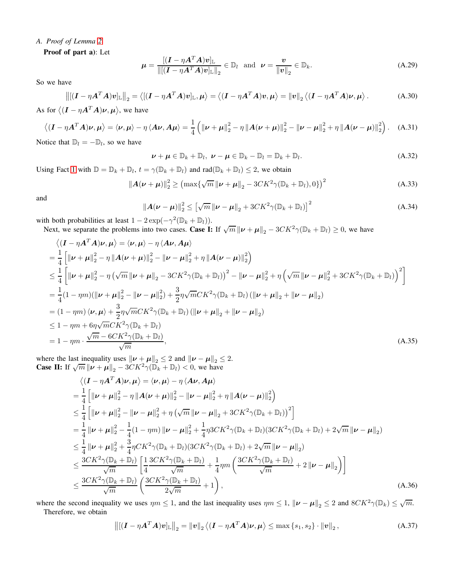# *A. Proof of Lemma [2](#page-2-2)*

Proof of part a): Let

$$
\boldsymbol{\mu} = \frac{\left[ (\boldsymbol{I} - \eta \boldsymbol{A}^T \boldsymbol{A}) \boldsymbol{v} \right]_{\mathbb{L}}}{\left\| \left[ (\boldsymbol{I} - \eta \boldsymbol{A}^T \boldsymbol{A}) \boldsymbol{v} \right]_{\mathbb{L}} \right\|_2} \in \mathbb{D}_l \quad \text{and} \quad \boldsymbol{\nu} = \frac{\boldsymbol{v}}{\left\| \boldsymbol{v} \right\|_2} \in \mathbb{D}_k. \tag{A.29}
$$

So we have

$$
\left\| \left[ (\boldsymbol{I} - \eta \boldsymbol{A}^T \boldsymbol{A}) \boldsymbol{v} \right]_{\mathbb{L}} \right\|_2 = \left\langle \left[ (\boldsymbol{I} - \eta \boldsymbol{A}^T \boldsymbol{A}) \boldsymbol{v} \right]_{\mathbb{L}}, \boldsymbol{\mu} \right\rangle = \left\langle (\boldsymbol{I} - \eta \boldsymbol{A}^T \boldsymbol{A}) \boldsymbol{v}, \boldsymbol{\mu} \right\rangle = \|\boldsymbol{v}\|_2 \left\langle (\boldsymbol{I} - \eta \boldsymbol{A}^T \boldsymbol{A}) \boldsymbol{\nu}, \boldsymbol{\mu} \right\rangle. \tag{A.30}
$$

As for  $\langle (\boldsymbol{I} - \eta \boldsymbol{A}^T \boldsymbol{A}) \boldsymbol{\nu}, \boldsymbol{\mu} \rangle$ , we have

$$
\langle (\boldsymbol{I} - \eta \boldsymbol{A}^T \boldsymbol{A}) \boldsymbol{\nu}, \boldsymbol{\mu} \rangle = \langle \boldsymbol{\nu}, \boldsymbol{\mu} \rangle - \eta \langle \boldsymbol{A} \boldsymbol{\nu}, \boldsymbol{A} \boldsymbol{\mu} \rangle = \frac{1}{4} \left( \|\boldsymbol{\nu} + \boldsymbol{\mu}\|_2^2 - \eta \|\boldsymbol{A} (\boldsymbol{\nu} + \boldsymbol{\mu})\|_2^2 - \|\boldsymbol{\nu} - \boldsymbol{\mu}\|_2^2 + \eta \|\boldsymbol{A} (\boldsymbol{\nu} - \boldsymbol{\mu})\|_2^2 \right). \tag{A.31}
$$

Notice that  $\mathbb{D}_l = -\mathbb{D}_l$ , so we have

$$
\nu + \mu \in \mathbb{D}_k + \mathbb{D}_l, \ \nu - \mu \in \mathbb{D}_k - \mathbb{D}_l = \mathbb{D}_k + \mathbb{D}_l. \tag{A.32}
$$

Using Fact [1](#page-6-0) with  $\mathbb{D} = \mathbb{D}_k + \mathbb{D}_l$ ,  $t = \gamma(\mathbb{D}_k + \mathbb{D}_l)$  and  $\text{rad}(\mathbb{D}_k + \mathbb{D}_l) \leq 2$ , we obtain

$$
\|A(\nu+\mu)\|_2^2 \geq \left(\max\{\sqrt{m}\left\|\nu+\mu\right\|_2 - 3CK^2\gamma(\mathbb{D}_k + \mathbb{D}_l), 0\}\right)^2\tag{A.33}
$$

and

$$
\left\|\boldsymbol{A}(\boldsymbol{\nu}-\boldsymbol{\mu})\right\|_{2}^{2} \leq \left[\sqrt{m}\left\|\boldsymbol{\nu}-\boldsymbol{\mu}\right\|_{2} + 3CK^{2}\gamma(\mathbb{D}_{k} + \mathbb{D}_{l})\right]^{2}
$$
\n(A.34)

with both probabilities at least  $1 - 2 \exp(-\gamma^2 (\mathbb{D}_k + \mathbb{D}_l)).$ 

Next, we separate the problems into two cases. Case I: If  $\sqrt{m} ||\mathbf{v} + \mathbf{\mu}||_2 - 3CK^2\gamma(\mathbb{D}_k + \mathbb{D}_l) \ge 0$ , we have

$$
\langle (I - \eta A^{T} A)\nu, \mu \rangle = \langle \nu, \mu \rangle - \eta \langle A \nu, A \mu \rangle
$$
  
\n
$$
= \frac{1}{4} \left[ \|\nu + \mu\|_{2}^{2} - \eta \|A(\nu + \mu)\|_{2}^{2} - \|\nu - \mu\|_{2}^{2} + \eta \|A(\nu - \mu)\|_{2}^{2} \right]
$$
  
\n
$$
\leq \frac{1}{4} \left[ \|\nu + \mu\|_{2}^{2} - \eta (\sqrt{m} \|\nu + \mu\|_{2} - 3CK^{2} \gamma (\mathbb{D}_{k} + \mathbb{D}_{l}))^{2} - \|\nu - \mu\|_{2}^{2} + \eta (\sqrt{m} \|\nu - \mu\|_{2}^{2} + 3CK^{2} \gamma (\mathbb{D}_{k} + \mathbb{D}_{l}))^{2} \right]
$$
  
\n
$$
= \frac{1}{4} (1 - \eta m) (\|\nu + \mu\|_{2}^{2} - \|\nu - \mu\|_{2}^{2}) + \frac{3}{2} \eta \sqrt{m} CK^{2} \gamma (\mathbb{D}_{k} + \mathbb{D}_{l}) (\|\nu + \mu\|_{2} + \|\nu - \mu\|_{2})
$$
  
\n
$$
= (1 - \eta m) \langle \nu, \mu \rangle + \frac{3}{2} \eta \sqrt{m} CK^{2} \gamma (\mathbb{D}_{k} + \mathbb{D}_{l}) (\|\nu + \mu\|_{2} + \|\nu - \mu\|_{2})
$$
  
\n
$$
\leq 1 - \eta m + 6 \eta \sqrt{m} CK^{2} \gamma (\mathbb{D}_{k} + \mathbb{D}_{l})
$$
  
\n
$$
= 1 - \eta m \cdot \frac{\sqrt{m} - 6CK^{2} \gamma (\mathbb{D}_{k} + \mathbb{D}_{l})}{\sqrt{m}}, \qquad (A.35)
$$

where the last inequality uses  $\|\boldsymbol{\nu} + \boldsymbol{\mu}\|_2 \leq 2$  and  $\|\boldsymbol{\nu} - \boldsymbol{\mu}\|_2 \leq 2$ . **Case II:** If  $\sqrt{m} || \nu + \mu ||_2 - 3CK^2 \gamma (\mathbb{D}_k + \mathbb{D}_l) < 0$ , we have

$$
\langle (I - \eta A^{T} A)\nu, \mu \rangle = \langle \nu, \mu \rangle - \eta \langle A\nu, A\mu \rangle
$$
  
\n= $\frac{1}{4} \left[ \|\nu + \mu\|_{2}^{2} - \eta \|A(\nu + \mu)\|_{2}^{2} - \|\nu - \mu\|_{2}^{2} + \eta \|A(\nu - \mu)\|_{2}^{2} \right]$   
\n $\leq \frac{1}{4} \left[ \|\nu + \mu\|_{2}^{2} - \|\nu - \mu\|_{2}^{2} + \eta (\sqrt{m} \|\nu - \mu\|_{2} + 3CK^{2} \gamma (\mathbb{D}_{k} + \mathbb{D}_{l}))^{2} \right]$   
\n= $\frac{1}{4} \|\nu + \mu\|_{2}^{2} - \frac{1}{4} (1 - \eta m) \|\nu - \mu\|_{2}^{2} + \frac{1}{4} \eta 3CK^{2} \gamma (\mathbb{D}_{k} + \mathbb{D}_{l}) (3CK^{2} \gamma (\mathbb{D}_{k} + \mathbb{D}_{l}) + 2\sqrt{m} \|\nu - \mu\|_{2})$   
\n $\leq \frac{1}{4} \|\nu + \mu\|_{2}^{2} + \frac{3}{4} \eta CK^{2} \gamma (\mathbb{D}_{k} + \mathbb{D}_{l}) (3CK^{2} \gamma (\mathbb{D}_{k} + \mathbb{D}_{l}) + 2\sqrt{m} \|\nu - \mu\|_{2})$   
\n $\leq \frac{3CK^{2} \gamma (\mathbb{D}_{k} + \mathbb{D}_{l})}{\sqrt{m}} \left[ \frac{1}{4} \frac{3CK^{2} \gamma (\mathbb{D}_{k} + \mathbb{D}_{l})}{\sqrt{m}} + \frac{1}{4} \eta m \left( \frac{3CK^{2} \gamma (\mathbb{D}_{k} + \mathbb{D}_{l})}{\sqrt{m}} + 2 \|\nu - \mu\|_{2} \right) \right]$   
\n $\leq \frac{3CK^{2} \gamma (\mathbb{D}_{k} + \mathbb{D}_{l})}{\sqrt{m}} \left( \frac{3CK^{2} \gamma (\mathbb{D}_{k} + \mathbb{D}_{l})}{2\sqrt{m}} + 1 \right),$  (A.36)

where the second inequality we uses  $\eta m \leq 1$ , and the last inequality uses  $\eta m \leq 1$ ,  $\|\boldsymbol{\nu} - \boldsymbol{\mu}\|_2 \leq 2$  and  $8CK^2\gamma(\mathbb{D}_k) \leq \sqrt{m}$ . Therefore, we obtain

$$
\left\| \left[ (\boldsymbol{I} - \eta \boldsymbol{A}^T \boldsymbol{A}) \boldsymbol{v} \right]_{\mathbb{L}} \right\|_2 = \left\| \boldsymbol{v} \right\|_2 \left\langle (\boldsymbol{I} - \eta \boldsymbol{A}^T \boldsymbol{A}) \boldsymbol{\nu}, \boldsymbol{\mu} \right\rangle \le \max \left\{ s_1, s_2 \right\} \cdot \left\| \boldsymbol{v} \right\|_2, \tag{A.37}
$$